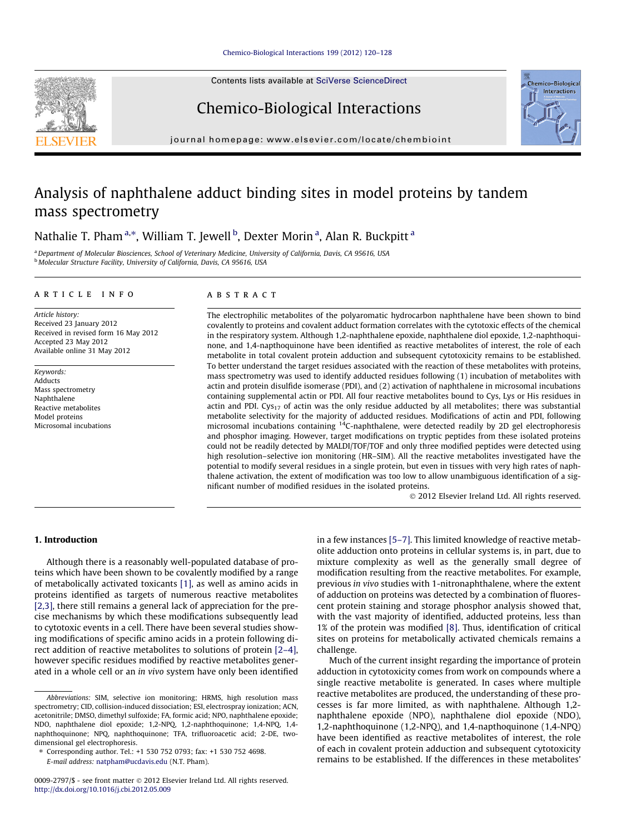Contents lists available at [SciVerse ScienceDirect](http://www.sciencedirect.com/science/journal/00092797)

# Chemico-Biological Interactions

journal homepage: [www.elsevier.com/locate/chembioint](http://www.elsevier.com/locate/chembioint)

# Analysis of naphthalene adduct binding sites in model proteins by tandem mass spectrometry

Nathalie T. Pham <sup>a,</sup>\*, William T. Jewell <sup>b</sup>, Dexter Morin <sup>a</sup>, Alan R. Buckpitt <sup>a</sup>

a Department of Molecular Biosciences, School of Veterinary Medicine, University of California, Davis, CA 95616, USA <sup>b</sup> Molecular Structure Facility, University of California, Davis, CA 95616, USA

#### article info

Article history: Received 23 January 2012 Received in revised form 16 May 2012 Accepted 23 May 2012 Available online 31 May 2012

Keywords: Adducts Mass spectrometry Naphthalene Reactive metabolites Model proteins Microsomal incubations

## ABSTRACT

The electrophilic metabolites of the polyaromatic hydrocarbon naphthalene have been shown to bind covalently to proteins and covalent adduct formation correlates with the cytotoxic effects of the chemical in the respiratory system. Although 1,2-naphthalene epoxide, naphthalene diol epoxide, 1,2-naphthoquinone, and 1,4-napthoquinone have been identified as reactive metabolites of interest, the role of each metabolite in total covalent protein adduction and subsequent cytotoxicity remains to be established. To better understand the target residues associated with the reaction of these metabolites with proteins, mass spectrometry was used to identify adducted residues following (1) incubation of metabolites with actin and protein disulfide isomerase (PDI), and (2) activation of naphthalene in microsomal incubations containing supplemental actin or PDI. All four reactive metabolites bound to Cys, Lys or His residues in actin and PDI. Cys<sub>17</sub> of actin was the only residue adducted by all metabolites; there was substantial metabolite selectivity for the majority of adducted residues. Modifications of actin and PDI, following microsomal incubations containing <sup>14</sup>C-naphthalene, were detected readily by 2D gel electrophoresis and phosphor imaging. However, target modifications on tryptic peptides from these isolated proteins could not be readily detected by MALDI/TOF/TOF and only three modified peptides were detected using high resolution–selective ion monitoring (HR–SIM). All the reactive metabolites investigated have the potential to modify several residues in a single protein, but even in tissues with very high rates of naphthalene activation, the extent of modification was too low to allow unambiguous identification of a significant number of modified residues in the isolated proteins.

- 2012 Elsevier Ireland Ltd. All rights reserved.

# 1. Introduction

Although there is a reasonably well-populated database of proteins which have been shown to be covalently modified by a range of metabolically activated toxicants [\[1\]](#page-7-0), as well as amino acids in proteins identified as targets of numerous reactive metabolites [\[2,3\]](#page-7-0), there still remains a general lack of appreciation for the precise mechanisms by which these modifications subsequently lead to cytotoxic events in a cell. There have been several studies showing modifications of specific amino acids in a protein following direct addition of reactive metabolites to solutions of protein [\[2–4\],](#page-7-0) however specific residues modified by reactive metabolites generated in a whole cell or an in vivo system have only been identified in a few instances [\[5–7\].](#page-7-0) This limited knowledge of reactive metabolite adduction onto proteins in cellular systems is, in part, due to mixture complexity as well as the generally small degree of modification resulting from the reactive metabolites. For example, previous in vivo studies with 1-nitronaphthalene, where the extent of adduction on proteins was detected by a combination of fluorescent protein staining and storage phosphor analysis showed that, with the vast majority of identified, adducted proteins, less than 1% of the protein was modified [\[8\].](#page-7-0) Thus, identification of critical sites on proteins for metabolically activated chemicals remains a challenge.

Much of the current insight regarding the importance of protein adduction in cytotoxicity comes from work on compounds where a single reactive metabolite is generated. In cases where multiple reactive metabolites are produced, the understanding of these processes is far more limited, as with naphthalene. Although 1,2 naphthalene epoxide (NPO), naphthalene diol epoxide (NDO), 1,2-naphthoquinone (1,2-NPQ), and 1,4-napthoquinone (1,4-NPQ) have been identified as reactive metabolites of interest, the role of each in covalent protein adduction and subsequent cytotoxicity remains to be established. If the differences in these metabolites'





Abbreviations: SIM, selective ion monitoring; HRMS, high resolution mass spectrometry; CID, collision-induced dissociation; ESI, electrospray ionization; ACN, acetonitrile; DMSO, dimethyl sulfoxide; FA, formic acid; NPO, naphthalene epoxide; NDO, naphthalene diol epoxide; 1,2-NPQ, 1,2-naphthoquinone; 1,4-NPQ, 1,4 naphthoquinone; NPQ, naphthoquinone; TFA, trifluoroacetic acid; 2-DE, twodimensional gel electrophoresis.

<sup>⇑</sup> Corresponding author. Tel.: +1 530 752 0793; fax: +1 530 752 4698. E-mail address: [natpham@ucdavis.edu](mailto:natpham@ucdavis.edu) (N.T. Pham).

<sup>0009-2797/\$ -</sup> see front matter © 2012 Elsevier Ireland Ltd. All rights reserved. <http://dx.doi.org/10.1016/j.cbi.2012.05.009>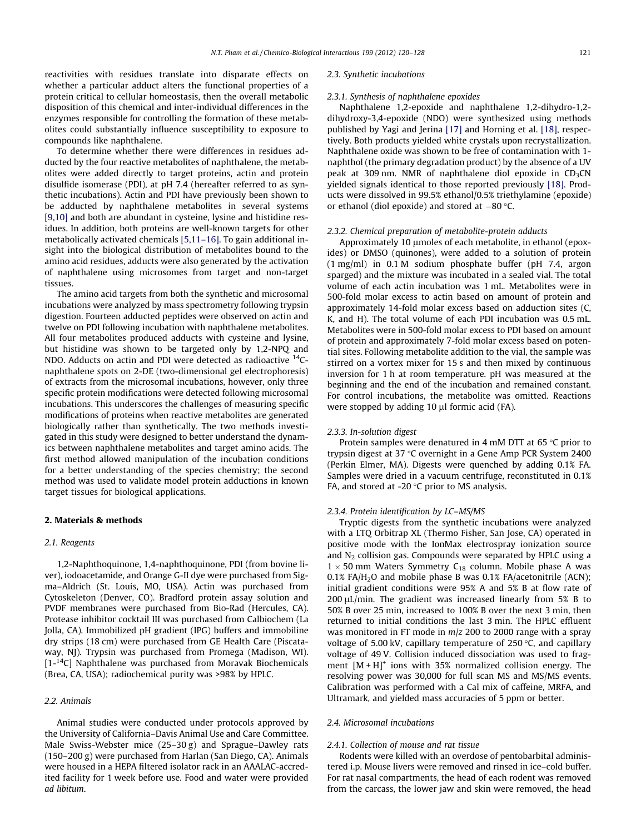reactivities with residues translate into disparate effects on whether a particular adduct alters the functional properties of a protein critical to cellular homeostasis, then the overall metabolic disposition of this chemical and inter-individual differences in the enzymes responsible for controlling the formation of these metabolites could substantially influence susceptibility to exposure to compounds like naphthalene.

To determine whether there were differences in residues adducted by the four reactive metabolites of naphthalene, the metabolites were added directly to target proteins, actin and protein disulfide isomerase (PDI), at pH 7.4 (hereafter referred to as synthetic incubations). Actin and PDI have previously been shown to be adducted by naphthalene metabolites in several systems [\[9,10\]](#page-7-0) and both are abundant in cysteine, lysine and histidine residues. In addition, both proteins are well-known targets for other metabolically activated chemicals [\[5,11–16\].](#page-7-0) To gain additional insight into the biological distribution of metabolites bound to the amino acid residues, adducts were also generated by the activation of naphthalene using microsomes from target and non-target tissues.

The amino acid targets from both the synthetic and microsomal incubations were analyzed by mass spectrometry following trypsin digestion. Fourteen adducted peptides were observed on actin and twelve on PDI following incubation with naphthalene metabolites. All four metabolites produced adducts with cysteine and lysine, but histidine was shown to be targeted only by 1,2-NPQ and NDO. Adducts on actin and PDI were detected as radioactive 14Cnaphthalene spots on 2-DE (two-dimensional gel electrophoresis) of extracts from the microsomal incubations, however, only three specific protein modifications were detected following microsomal incubations. This underscores the challenges of measuring specific modifications of proteins when reactive metabolites are generated biologically rather than synthetically. The two methods investigated in this study were designed to better understand the dynamics between naphthalene metabolites and target amino acids. The first method allowed manipulation of the incubation conditions for a better understanding of the species chemistry; the second method was used to validate model protein adductions in known target tissues for biological applications.

# 2. Materials & methods

# 2.1. Reagents

1,2-Naphthoquinone, 1,4-naphthoquinone, PDI (from bovine liver), iodoacetamide, and Orange G-II dye were purchased from Sigma–Aldrich (St. Louis, MO, USA). Actin was purchased from Cytoskeleton (Denver, CO). Bradford protein assay solution and PVDF membranes were purchased from Bio-Rad (Hercules, CA). Protease inhibitor cocktail III was purchased from Calbiochem (La Jolla, CA). Immobilized pH gradient (IPG) buffers and immobiline dry strips (18 cm) were purchased from GE Health Care (Piscataway, NJ). Trypsin was purchased from Promega (Madison, WI).  $[1 -$ <sup>14</sup>C] Naphthalene was purchased from Moravak Biochemicals (Brea, CA, USA); radiochemical purity was >98% by HPLC.

# 2.2. Animals

Animal studies were conducted under protocols approved by the University of California–Davis Animal Use and Care Committee. Male Swiss-Webster mice (25–30 g) and Sprague–Dawley rats (150–200 g) were purchased from Harlan (San Diego, CA). Animals were housed in a HEPA filtered isolator rack in an AAALAC-accredited facility for 1 week before use. Food and water were provided ad libitum.

#### 2.3. Synthetic incubations

#### 2.3.1. Synthesis of naphthalene epoxides

Naphthalene 1,2-epoxide and naphthalene 1,2-dihydro-1,2 dihydroxy-3,4-epoxide (NDO) were synthesized using methods published by Yagi and Jerina [\[17\]](#page-7-0) and Horning et al. [\[18\]](#page-8-0), respectively. Both products yielded white crystals upon recrystallization. Naphthalene oxide was shown to be free of contamination with 1 naphthol (the primary degradation product) by the absence of a UV peak at 309 nm. NMR of naphthalene diol epoxide in  $CD_3CN$ yielded signals identical to those reported previously [\[18\].](#page-8-0) Products were dissolved in 99.5% ethanol/0.5% triethylamine (epoxide) or ethanol (diol epoxide) and stored at  $-80$  °C.

#### 2.3.2. Chemical preparation of metabolite-protein adducts

Approximately 10 umoles of each metabolite, in ethanol (epoxides) or DMSO (quinones), were added to a solution of protein (1 mg/ml) in 0.1 M sodium phosphate buffer (pH 7.4, argon sparged) and the mixture was incubated in a sealed vial. The total volume of each actin incubation was 1 mL. Metabolites were in 500-fold molar excess to actin based on amount of protein and approximately 14-fold molar excess based on adduction sites (C, K, and H). The total volume of each PDI incubation was 0.5 mL. Metabolites were in 500-fold molar excess to PDI based on amount of protein and approximately 7-fold molar excess based on potential sites. Following metabolite addition to the vial, the sample was stirred on a vortex mixer for 15 s and then mixed by continuous inversion for 1 h at room temperature. pH was measured at the beginning and the end of the incubation and remained constant. For control incubations, the metabolite was omitted. Reactions were stopped by adding  $10 \mu l$  formic acid (FA).

# 2.3.3. In-solution digest

Protein samples were denatured in 4 mM DTT at 65  $\degree$ C prior to trypsin digest at 37 $\degree$ C overnight in a Gene Amp PCR System 2400 (Perkin Elmer, MA). Digests were quenched by adding 0.1% FA. Samples were dried in a vacuum centrifuge, reconstituted in 0.1% FA, and stored at -20 $\degree$ C prior to MS analysis.

## 2.3.4. Protein identification by LC–MS/MS

Tryptic digests from the synthetic incubations were analyzed with a LTQ Orbitrap XL (Thermo Fisher, San Jose, CA) operated in positive mode with the IonMax electrospray ionization source and  $N_2$  collision gas. Compounds were separated by HPLC using a  $1 \times 50$  mm Waters Symmetry C<sub>18</sub> column. Mobile phase A was 0.1% FA/H<sub>2</sub>O and mobile phase B was 0.1% FA/acetonitrile (ACN); initial gradient conditions were 95% A and 5% B at flow rate of 200  $\mu$ L/min. The gradient was increased linearly from 5% B to 50% B over 25 min, increased to 100% B over the next 3 min, then returned to initial conditions the last 3 min. The HPLC effluent was monitored in FT mode in  $m/z$  200 to 2000 range with a spray voltage of 5.00 kV, capillary temperature of 250  $\degree$ C, and capillary voltage of 49 V. Collision induced dissociation was used to fragment  $[M + H]$ <sup>+</sup> ions with 35% normalized collision energy. The resolving power was 30,000 for full scan MS and MS/MS events. Calibration was performed with a Cal mix of caffeine, MRFA, and Ultramark, and yielded mass accuracies of 5 ppm or better.

# 2.4. Microsomal incubations

## 2.4.1. Collection of mouse and rat tissue

Rodents were killed with an overdose of pentobarbital administered i.p. Mouse livers were removed and rinsed in ice–cold buffer. For rat nasal compartments, the head of each rodent was removed from the carcass, the lower jaw and skin were removed, the head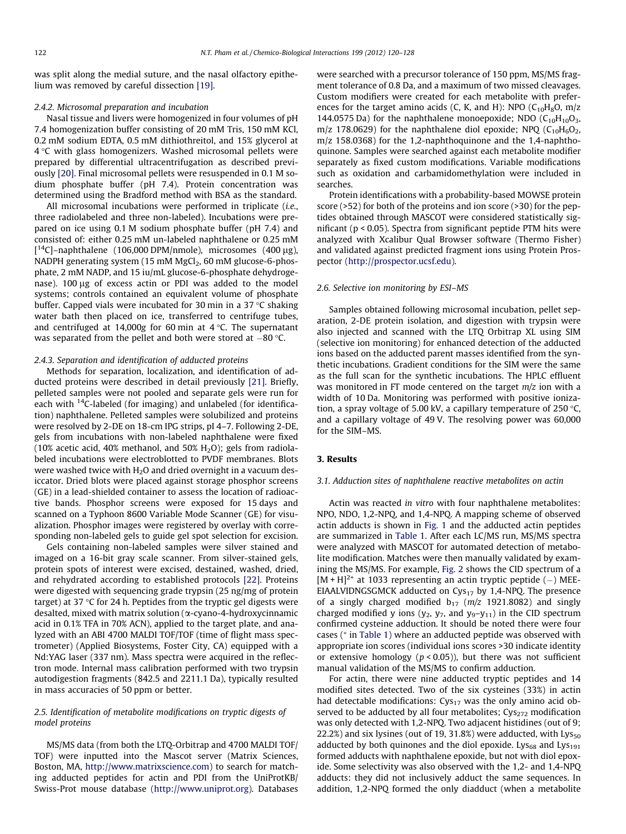was split along the medial suture, and the nasal olfactory epithelium was removed by careful dissection [\[19\].](#page-8-0)

#### 2.4.2. Microsomal preparation and incubation

Nasal tissue and livers were homogenized in four volumes of pH 7.4 homogenization buffer consisting of 20 mM Tris, 150 mM KCl, 0.2 mM sodium EDTA, 0.5 mM dithiothreitol, and 15% glycerol at  $4^{\circ}$ C with glass homogenizers. Washed microsomal pellets were prepared by differential ultracentrifugation as described previously [\[20\]](#page-8-0). Final microsomal pellets were resuspended in 0.1 M sodium phosphate buffer (pH 7.4). Protein concentration was determined using the Bradford method with BSA as the standard.

All microsomal incubations were performed in triplicate (i.e., three radiolabeled and three non-labeled). Incubations were prepared on ice using 0.1 M sodium phosphate buffer (pH 7.4) and consisted of: either 0.25 mM un-labeled naphthalene or 0.25 mM [ $14$ C]-naphthalene (106,000 DPM/nmole), microsomes (400 µg), NADPH generating system  $(15 \text{ mM MgCl}_2, 60 \text{ mM glucose-6-phos-}$ phate, 2 mM NADP, and 15 iu/mL glucose-6-phosphate dehydrogenase).  $100 \mu$ g of excess actin or PDI was added to the model systems; controls contained an equivalent volume of phosphate buffer. Capped vials were incubated for 30 min in a 37  $\degree$ C shaking water bath then placed on ice, transferred to centrifuge tubes, and centrifuged at 14,000g for 60 min at  $4^{\circ}$ C. The supernatant was separated from the pellet and both were stored at  $-80$  °C.

## 2.4.3. Separation and identification of adducted proteins

Methods for separation, localization, and identification of adducted proteins were described in detail previously [\[21\]](#page-8-0). Briefly, pelleted samples were not pooled and separate gels were run for each with <sup>14</sup>C-labeled (for imaging) and unlabeled (for identification) naphthalene. Pelleted samples were solubilized and proteins were resolved by 2-DE on 18-cm IPG strips, pI 4–7. Following 2-DE, gels from incubations with non-labeled naphthalene were fixed (10% acetic acid, 40% methanol, and 50%  $H<sub>2</sub>O$ ); gels from radiolabeled incubations were electroblotted to PVDF membranes. Blots were washed twice with  $H_2O$  and dried overnight in a vacuum desiccator. Dried blots were placed against storage phosphor screens (GE) in a lead-shielded container to assess the location of radioactive bands. Phosphor screens were exposed for 15 days and scanned on a Typhoon 8600 Variable Mode Scanner (GE) for visualization. Phosphor images were registered by overlay with corresponding non-labeled gels to guide gel spot selection for excision.

Gels containing non-labeled samples were silver stained and imaged on a 16-bit gray scale scanner. From silver-stained gels, protein spots of interest were excised, destained, washed, dried, and rehydrated according to established protocols [\[22\]](#page-8-0). Proteins were digested with sequencing grade trypsin (25 ng/mg of protein target) at 37  $\degree$ C for 24 h. Peptides from the tryptic gel digests were desalted, mixed with matrix solution ( $\alpha$ -cyano-4-hydroxycinnamic acid in 0.1% TFA in 70% ACN), applied to the target plate, and analyzed with an ABI 4700 MALDI TOF/TOF (time of flight mass spectrometer) (Applied Biosystems, Foster City, CA) equipped with a Nd:YAG laser (337 nm). Mass spectra were acquired in the reflectron mode. Internal mass calibration performed with two trypsin autodigestion fragments (842.5 and 2211.1 Da), typically resulted in mass accuracies of 50 ppm or better.

# 2.5. Identification of metabolite modifications on tryptic digests of model proteins

MS/MS data (from both the LTQ-Orbitrap and 4700 MALDI TOF/ TOF) were inputted into the Mascot server (Matrix Sciences, Boston, MA, <http://www.matrixscience.com>) to search for matching adducted peptides for actin and PDI from the UniProtKB/ Swiss-Prot mouse database ([http://www.uniprot.org\)](http://www.uniprot.org). Databases

were searched with a precursor tolerance of 150 ppm, MS/MS fragment tolerance of 0.8 Da, and a maximum of two missed cleavages. Custom modifiers were created for each metabolite with preferences for the target amino acids (C, K, and H): NPO  $(C_{10}H_8O, m/z)$ 144.0575 Da) for the naphthalene monoepoxide; NDO  $(C_{10}H_{10}O_3,$ m/z 178.0629) for the naphthalene diol epoxide; NPQ  $(C_{10}H_6O_2,$ m/z 158.0368) for the 1,2-naphthoquinone and the 1,4-naphthoquinone. Samples were searched against each metabolite modifier separately as fixed custom modifications. Variable modifications such as oxidation and carbamidomethylation were included in searches.

Protein identifications with a probability-based MOWSE protein score (>52) for both of the proteins and ion score (>30) for the peptides obtained through MASCOT were considered statistically significant (p < 0.05). Spectra from significant peptide PTM hits were analyzed with Xcalibur Qual Browser software (Thermo Fisher) and validated against predicted fragment ions using Protein Prospector [\(http://prospector.ucsf.edu\)](http://prospector.ucsf.edu).

# 2.6. Selective ion monitoring by ESI–MS

Samples obtained following microsomal incubation, pellet separation, 2-DE protein isolation, and digestion with trypsin were also injected and scanned with the LTQ Orbitrap XL using SIM (selective ion monitoring) for enhanced detection of the adducted ions based on the adducted parent masses identified from the synthetic incubations. Gradient conditions for the SIM were the same as the full scan for the synthetic incubations. The HPLC effluent was monitored in FT mode centered on the target  $m/z$  ion with a width of 10 Da. Monitoring was performed with positive ionization, a spray voltage of 5.00 kV, a capillary temperature of 250  $\degree$ C, and a capillary voltage of 49 V. The resolving power was 60,000 for the SIM–MS.

# 3. Results

## 3.1. Adduction sites of naphthalene reactive metabolites on actin

Actin was reacted in vitro with four naphthalene metabolites: NPO, NDO, 1,2-NPQ, and 1,4-NPQ. A mapping scheme of observed actin adducts is shown in [Fig. 1](#page-3-0) and the adducted actin peptides are summarized in [Table 1.](#page-3-0) After each LC/MS run, MS/MS spectra were analyzed with MASCOT for automated detection of metabolite modification. Matches were then manually validated by examining the MS/MS. For example, [Fig. 2](#page-4-0) shows the CID spectrum of a  $[M + H]^{2+}$  at 1033 representing an actin tryptic peptide (-) MEE-EIAALVIDNGSGMCK adducted on  $Cys_{17}$  by 1,4-NPQ. The presence of a singly charged modified  $b_{17}$  ( $m/z$  1921.8082) and singly charged modified y ions ( $y_2$ ,  $y_7$ , and  $y_9-y_{11}$ ) in the CID spectrum confirmed cysteine adduction. It should be noted there were four cases (<sup>⁄</sup> in [Table 1\)](#page-3-0) where an adducted peptide was observed with appropriate ion scores (individual ions scores >30 indicate identity or extensive homology ( $p < 0.05$ )), but there was not sufficient manual validation of the MS/MS to confirm adduction.

For actin, there were nine adducted tryptic peptides and 14 modified sites detected. Two of the six cysteines (33%) in actin had detectable modifications:  $Cys_{17}$  was the only amino acid observed to be adducted by all four metabolites;  $Cys<sub>272</sub>$  modification was only detected with 1,2-NPQ. Two adjacent histidines (out of 9; 22.2%) and six lysines (out of 19, 31.8%) were adducted, with  $Lys_{50}$ adducted by both quinones and the diol epoxide. Lys $_{68}$  and Lys $_{191}$ formed adducts with naphthalene epoxide, but not with diol epoxide. Some selectivity was also observed with the 1,2- and 1,4-NPQ adducts: they did not inclusively adduct the same sequences. In addition, 1,2-NPQ formed the only diadduct (when a metabolite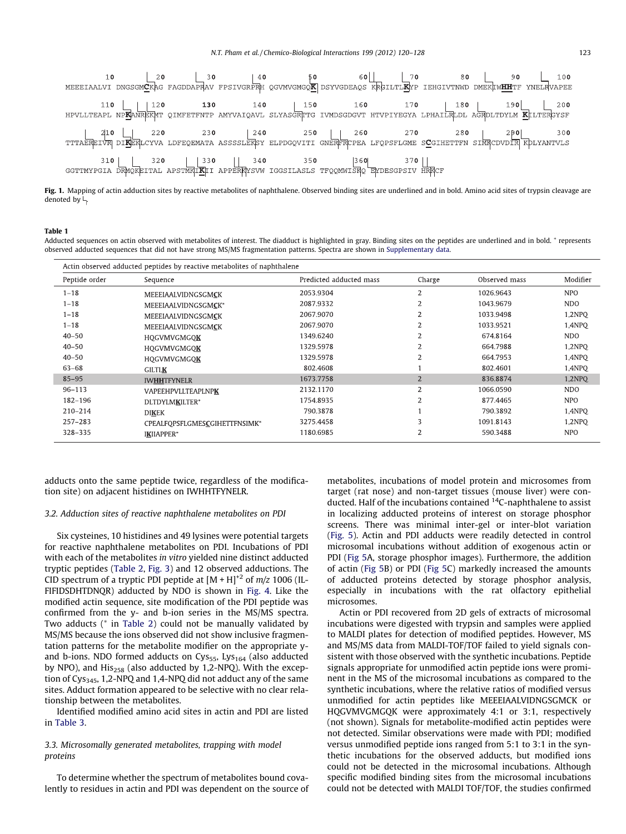<span id="page-3-0"></span>

Fig. 1. Mapping of actin adduction sites by reactive metabolites of naphthalene. Observed binding sites are underlined and in bold. Amino acid sites of trypsin cleavage are denoted by  $\vdash$ .

## Table 1

Adducted sequences on actin observed with metabolites of interest. The diadduct is highlighted in gray. Binding sites on the peptides are underlined and in bold.  $*$  represents observed adducted sequences that did not have strong MS/MS fragmentation patterns. Spectra are shown in Supplementary data.

| Actin observed adducted peptides by reactive metabolites of naphthalene |                               |                         |                |               |            |  |
|-------------------------------------------------------------------------|-------------------------------|-------------------------|----------------|---------------|------------|--|
| Peptide order                                                           | Sequence                      | Predicted adducted mass | Charge         | Observed mass | Modifier   |  |
| $1 - 18$                                                                | MEEEIAALVIDNGSGMCK            | 2053.9304               | $\overline{2}$ | 1026.9643     | <b>NPO</b> |  |
| $1 - 18$                                                                | MEEEIAALVIDNGSGMCK*           | 2087.9332               | 2              | 1043.9679     | NDO.       |  |
| $1 - 18$                                                                | MEEEIAALVIDNGSGMCK            | 2067.9070               | $\overline{2}$ | 1033.9498     | 1,2NPQ     |  |
| $1 - 18$                                                                | MEEEIAALVIDNGSGMCK            | 2067.9070               | 2              | 1033.9521     | 1.4NPO     |  |
| $40 - 50$                                                               | HOGVMVGMGOK                   | 1349.6240               | 2              | 674.8164      | NDO.       |  |
| $40 - 50$                                                               | HOGVMVGMGOK                   | 1329.5978               | 2              | 664.7988      | 1,2NPO     |  |
| $40 - 50$                                                               | HOGVMVGMGOK                   | 1329.5978               | $\overline{2}$ | 664.7953      | 1,4NPO     |  |
| $63 - 68$                                                               | <b>GILTLK</b>                 | 802.4608                |                | 802.4601      | 1.4NPO     |  |
| $85 - 95$                                                               | <b>IWHHTFYNELR</b>            | 1673.7758               | $\overline{2}$ | 836.8874      | 1,2NPQ     |  |
| $96 - 113$                                                              | <b>VAPEEHPVLLTEAPLNPK</b>     | 2132.1170               | $\overline{2}$ | 1066.0590     | <b>NDO</b> |  |
| 182-196                                                                 | DLTDYLMKILTER*                | 1754.8935               | $\overline{2}$ | 877.4465      | <b>NPO</b> |  |
| 210-214                                                                 | <b>DIKEK</b>                  | 790.3878                |                | 790.3892      | 1.4NPO     |  |
| $257 - 283$                                                             | CPEALFOPSFLGMESCGIHETTFNSIMK* | 3275.4458               | 3              | 1091.8143     | 1,2NPQ     |  |
| 328-335                                                                 | IKIIAPPER*                    | 1180.6985               | $\overline{2}$ | 590.3488      | <b>NPO</b> |  |

adducts onto the same peptide twice, regardless of the modification site) on adjacent histidines on IWHHTFYNELR.

#### 3.2. Adduction sites of reactive naphthalene metabolites on PDI

Six cysteines, 10 histidines and 49 lysines were potential targets for reactive naphthalene metabolites on PDI. Incubations of PDI with each of the metabolites in vitro yielded nine distinct adducted tryptic peptides ([Table 2](#page-4-0), [Fig. 3\)](#page-5-0) and 12 observed adductions. The CID spectrum of a tryptic PDI peptide at  $[M + H]^{+2}$  of  $m/z$  1006 (IL-FIFIDSDHTDNQR) adducted by NDO is shown in [Fig. 4.](#page-5-0) Like the modified actin sequence, site modification of the PDI peptide was confirmed from the y- and b-ion series in the MS/MS spectra. Two adducts (\* in [Table 2\)](#page-4-0) could not be manually validated by MS/MS because the ions observed did not show inclusive fragmentation patterns for the metabolite modifier on the appropriate yand b-ions. NDO formed adducts on  $Cys_{55}$ , Lys<sub>164</sub> (also adducted by NPO), and His<sub>258</sub> (also adducted by 1,2-NPQ). With the exception of Cys<sub>345</sub>, 1,2-NPQ and 1,4-NPQ did not adduct any of the same sites. Adduct formation appeared to be selective with no clear relationship between the metabolites.

Identified modified amino acid sites in actin and PDI are listed in [Table 3](#page-6-0).

# 3.3. Microsomally generated metabolites, trapping with model proteins

To determine whether the spectrum of metabolites bound covalently to residues in actin and PDI was dependent on the source of metabolites, incubations of model protein and microsomes from target (rat nose) and non-target tissues (mouse liver) were conducted. Half of the incubations contained  $^{14}$ C-naphthalene to assist in localizing adducted proteins of interest on storage phosphor screens. There was minimal inter-gel or inter-blot variation ([Fig. 5](#page-6-0)). Actin and PDI adducts were readily detected in control microsomal incubations without addition of exogenous actin or PDI ([Fig 5](#page-6-0)A, storage phosphor images). Furthermore, the addition of actin ([Fig 5B](#page-6-0)) or PDI ([Fig 5](#page-6-0)C) markedly increased the amounts of adducted proteins detected by storage phosphor analysis, especially in incubations with the rat olfactory epithelial microsomes.

Actin or PDI recovered from 2D gels of extracts of microsomal incubations were digested with trypsin and samples were applied to MALDI plates for detection of modified peptides. However, MS and MS/MS data from MALDI-TOF/TOF failed to yield signals consistent with those observed with the synthetic incubations. Peptide signals appropriate for unmodified actin peptide ions were prominent in the MS of the microsomal incubations as compared to the synthetic incubations, where the relative ratios of modified versus unmodified for actin peptides like MEEEIAALVIDNGSGMCK or HQGVMVGMGQK were approximately 4:1 or 3:1, respectively (not shown). Signals for metabolite-modified actin peptides were not detected. Similar observations were made with PDI; modified versus unmodified peptide ions ranged from 5:1 to 3:1 in the synthetic incubations for the observed adducts, but modified ions could not be detected in the microsomal incubations. Although specific modified binding sites from the microsomal incubations could not be detected with MALDI TOF/TOF, the studies confirmed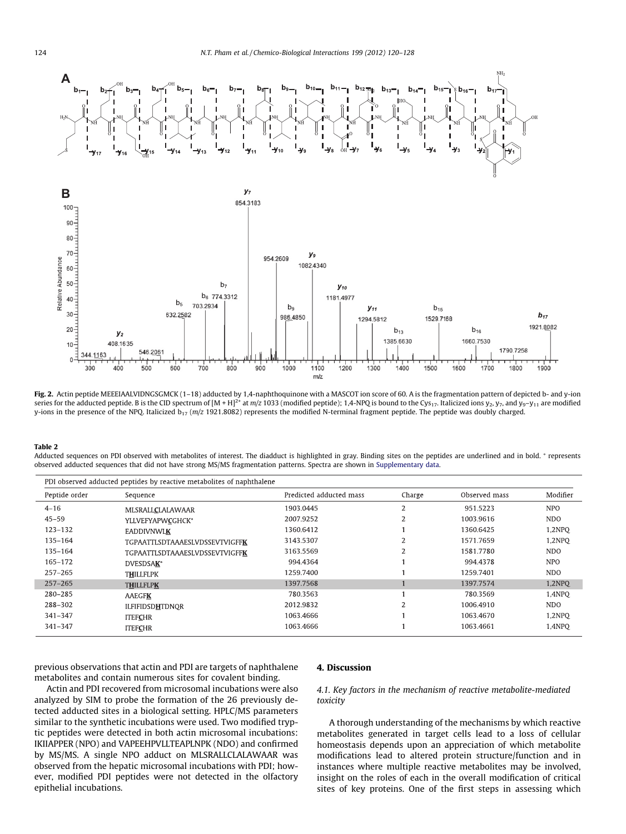<span id="page-4-0"></span>

Fig. 2. Actin peptide MEEEIAALVIDNGSGMCK (1-18) adducted by 1,4-naphthoquinone with a MASCOT ion score of 60. A is the fragmentation pattern of depicted b- and y-ion series for the adducted peptide. B is the CID spectrum of  $[M + H]^{2+}$  at  $m/z$  1033 (modified peptide); 1,4-NPQ is bound to the Cy<sub>517</sub>. Italicized ions y<sub>2</sub>, y<sub>7</sub>, and y<sub>9</sub>-y<sub>11</sub> are modified y-ions in the presence of the NPQ. Italicized  $b_{17}$  ( $m/z$  1921.8082) represents the modified N-terminal fragment peptide. The peptide was doubly charged.

#### Table 2

Adducted sequences on PDI observed with metabolites of interest. The diadduct is highlighted in gray. Binding sites on the peptides are underlined and in bold.  $*$  represents observed adducted sequences that did not have strong MS/MS fragmentation patterns. Spectra are shown in Supplementary data.

| Peptide order | Sequence                              | Predicted adducted mass | Charge                   | Observed mass | Modifier   |
|---------------|---------------------------------------|-------------------------|--------------------------|---------------|------------|
| $4 - 16$      | MLSRALLCLALAWAAR                      | 1903.0445               | $\overline{2}$           | 951.5223      | <b>NPO</b> |
| $45 - 59$     | YLLVEFYAPWCGHCK*                      | 2007.9252               | 2                        | 1003.9616     | NDO.       |
| 123-132       | <b>EADDIVNWLK</b>                     | 1360.6412               |                          | 1360.6425     | 1.2NPO     |
| 135-164       | <b>TGPAATTLSDTAAAESLVDSSEVTVIGFFK</b> | 3143.5307               | $\overline{2}$           | 1571.7659     | 1,2NPO     |
| 135-164       | <b>TGPAATTLSDTAAAESLVDSSEVTVIGFFK</b> | 3163.5569               |                          | 1581.7780     | NDO.       |
| $165 - 172$   | DVESDSAK*                             | 994.4364                |                          | 994.4378      | <b>NPO</b> |
| $257 - 265$   | <b>THILLFLPK</b>                      | 1259.7400               |                          | 1259.7401     | NDO.       |
| $257 - 265$   | <b>THILLFLPK</b>                      | 1397.7568               |                          | 1397.7574     | 1,2NPO     |
| 280-285       | <b>AAEGFK</b>                         | 780.3563                |                          | 780.3569      | 1,4NPO     |
| 288-302       | <b>ILFIFIDSDHTDNOR</b>                | 2012.9832               | $\overline{\mathcal{L}}$ | 1006.4910     | NDO.       |
| $341 - 347$   | <b>ITEFCHR</b>                        | 1063.4666               |                          | 1063.4670     | 1.2NPO     |
| $341 - 347$   | <b>ITEFCHR</b>                        | 1063.4666               |                          | 1063.4661     | 1,4NPO     |
|               |                                       |                         |                          |               |            |

previous observations that actin and PDI are targets of naphthalene metabolites and contain numerous sites for covalent binding.

Actin and PDI recovered from microsomal incubations were also analyzed by SIM to probe the formation of the 26 previously detected adducted sites in a biological setting. HPLC/MS parameters similar to the synthetic incubations were used. Two modified tryptic peptides were detected in both actin microsomal incubations: IKIIAPPER (NPO) and VAPEEHPVLLTEAPLNPK (NDO) and confirmed by MS/MS. A single NPO adduct on MLSRALLCLALAWAAR was observed from the hepatic microsomal incubations with PDI; however, modified PDI peptides were not detected in the olfactory epithelial incubations.

# 4. Discussion

# 4.1. Key factors in the mechanism of reactive metabolite-mediated toxicity

A thorough understanding of the mechanisms by which reactive metabolites generated in target cells lead to a loss of cellular homeostasis depends upon an appreciation of which metabolite modifications lead to altered protein structure/function and in instances where multiple reactive metabolites may be involved, insight on the roles of each in the overall modification of critical sites of key proteins. One of the first steps in assessing which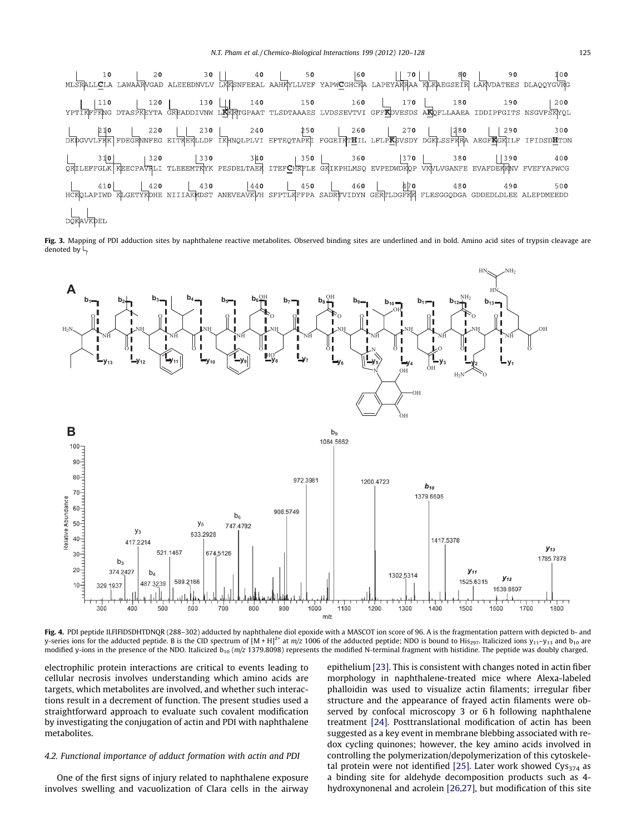<span id="page-5-0"></span>

|                  |  |  | E10 220 230 230 240 250 260 260 270 280 290 290 300<br>DKDGVVLFKK FDEGRANFEG EITKEKLLDF IKHNQLPLVI EFTEQTAPKI FGGEIKT <b>H</b> IL LFLP <b>K</b> EVSDY DGRLSSFKRA AEGF <b>K</b> GRILF IFIDSD <b>H</b> TDN |  |  |                                                                                                                                                              |
|------------------|--|--|----------------------------------------------------------------------------------------------------------------------------------------------------------------------------------------------------------|--|--|--------------------------------------------------------------------------------------------------------------------------------------------------------------|
|                  |  |  |                                                                                                                                                                                                          |  |  | 310 320 330 340 350 360 370 370 380 390 400<br>QRILEFFGLK KEECPAVRLI TLEEEMTRYK PESDELTAER ITEFCHRFLE GRIKPHLMSQ EVPEDWDKQP VKVLVGANFE EVAFDEKKAV FVEFYAPWCG |
|                  |  |  |                                                                                                                                                                                                          |  |  | 410 420 430 430 440 450 460 400 490 490 500<br>HCROLAPIWD RLGETYRDHE NIIIARMDST ANEVEAVKVH SFPTLEFFPA SADRTVIDYN GERTLDGFRR FLESGGODGA GDDEDLDLEE ALEPDMEEDD |
| <b>DOKAVKDEL</b> |  |  |                                                                                                                                                                                                          |  |  |                                                                                                                                                              |

Fig. 3. Mapping of PDI adduction sites by naphthalene reactive metabolites. Observed binding sites are underlined and in bold. Amino acid sites of trypsin cleavage are denoted by  $\vdash$ 



Fig. 4. PDI peptide ILFIFIDSDHTDNQR (288-302) adducted by naphthalene diol epoxide with a MASCOT ion score of 96. A is the fragmentation pattern with depicted b- and y-series ions for the adducted peptide. B is the CID spectrum of  $[M + H]^{2+}$  at  $m/z$  1006 of the adducted peptide; NDO is bound to His<sub>297</sub>. Italicized ions  $y_{11}-y_{13}$  and  $b_{10}$  are modified y-ions in the presence of the NDO. Italicized  $b_{10}$  (m/z 1379.8098) represents the modified N-terminal fragment with histidine. The peptide was doubly charged.

electrophilic protein interactions are critical to events leading to cellular necrosis involves understanding which amino acids are targets, which metabolites are involved, and whether such interactions result in a decrement of function. The present studies used a straightforward approach to evaluate such covalent modification by investigating the conjugation of actin and PDI with naphthalene metabolites.

# 4.2. Functional importance of adduct formation with actin and PDI

One of the first signs of injury related to naphthalene exposure involves swelling and vacuolization of Clara cells in the airway epithelium [\[23\]](#page-8-0). This is consistent with changes noted in actin fiber morphology in naphthalene-treated mice where Alexa-labeled phalloidin was used to visualize actin filaments; irregular fiber structure and the appearance of frayed actin filaments were observed by confocal microscopy 3 or 6 h following naphthalene treatment [\[24\].](#page-8-0) Posttranslational modification of actin has been suggested as a key event in membrane blebbing associated with redox cycling quinones; however, the key amino acids involved in controlling the polymerization/depolymerization of this cytoskele-tal protein were not identified [\[25\].](#page-8-0) Later work showed  $Cys_{374}$  as a binding site for aldehyde decomposition products such as 4 hydroxynonenal and acrolein [\[26,27\]](#page-8-0), but modification of this site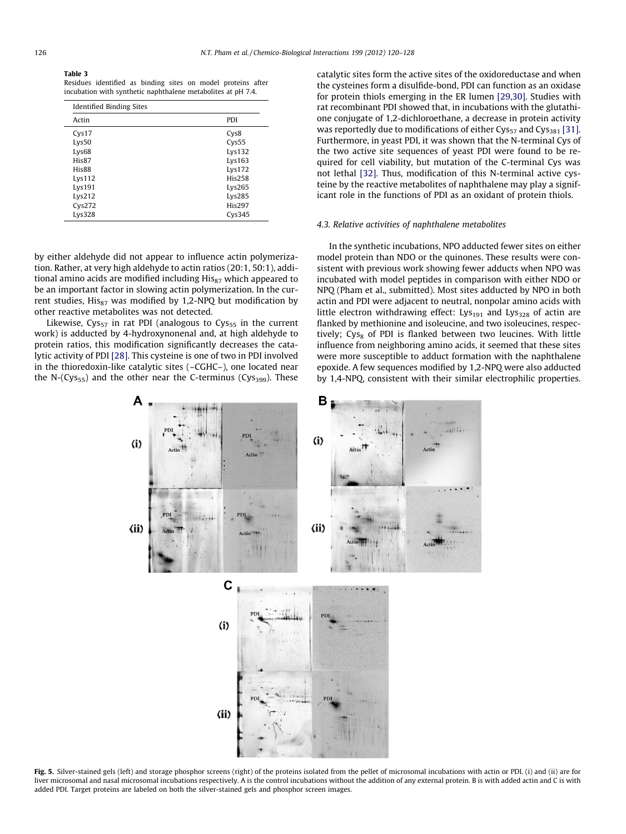#### <span id="page-6-0"></span>Table 3

Residues identified as binding sites on model proteins after incubation with synthetic naphthalene metabolites at pH 7.4.

| Identified Binding Sites |                     |  |  |  |  |
|--------------------------|---------------------|--|--|--|--|
| Actin                    | PDI                 |  |  |  |  |
| C <sub>VS</sub> 17       | Cys8                |  |  |  |  |
| Lys50                    | C <sub>VS</sub> 55  |  |  |  |  |
| Lys <sub>68</sub>        | Lys132              |  |  |  |  |
| His87                    | Lvs163              |  |  |  |  |
| His88                    | Lvs172              |  |  |  |  |
| Lvs112                   | <b>His258</b>       |  |  |  |  |
| Lys191                   | Lys265              |  |  |  |  |
| Lvs212                   | Lys285              |  |  |  |  |
| C <sub>VS</sub> 272      | <b>His297</b>       |  |  |  |  |
| Lys328                   | C <sub>VS</sub> 345 |  |  |  |  |

by either aldehyde did not appear to influence actin polymerization. Rather, at very high aldehyde to actin ratios (20:1, 50:1), additional amino acids are modified including His<sub>87</sub> which appeared to be an important factor in slowing actin polymerization. In the current studies,  $His_{87}$  was modified by 1,2-NPQ but modification by other reactive metabolites was not detected.

Likewise, Cys<sub>57</sub> in rat PDI (analogous to Cys<sub>55</sub> in the current work) is adducted by 4-hydroxynonenal and, at high aldehyde to protein ratios, this modification significantly decreases the catalytic activity of PDI [\[28\]](#page-8-0). This cysteine is one of two in PDI involved in the thioredoxin-like catalytic sites (–CGHC–), one located near the N- $(Cys_{55})$  and the other near the C-terminus  $(Cys_{399})$ . These catalytic sites form the active sites of the oxidoreductase and when the cysteines form a disulfide-bond, PDI can function as an oxidase for protein thiols emerging in the ER lumen [\[29,30\]](#page-8-0). Studies with rat recombinant PDI showed that, in incubations with the glutathione conjugate of 1,2-dichloroethane, a decrease in protein activity was reportedly due to modifications of either  $Cys_{57}$  and  $Cys_{381}$  [\[31\].](#page-8-0) Furthermore, in yeast PDI, it was shown that the N-terminal Cys of the two active site sequences of yeast PDI were found to be required for cell viability, but mutation of the C-terminal Cys was not lethal [\[32\]](#page-8-0). Thus, modification of this N-terminal active cysteine by the reactive metabolites of naphthalene may play a significant role in the functions of PDI as an oxidant of protein thiols.

## 4.3. Relative activities of naphthalene metabolites

In the synthetic incubations, NPO adducted fewer sites on either model protein than NDO or the quinones. These results were consistent with previous work showing fewer adducts when NPO was incubated with model peptides in comparison with either NDO or NPQ (Pham et al., submitted). Most sites adducted by NPO in both actin and PDI were adjacent to neutral, nonpolar amino acids with little electron withdrawing effect: Lys<sub>191</sub> and Lys<sub>328</sub> of actin are flanked by methionine and isoleucine, and two isoleucines, respectively;  $Cys_8$  of PDI is flanked between two leucines. With little influence from neighboring amino acids, it seemed that these sites were more susceptible to adduct formation with the naphthalene epoxide. A few sequences modified by 1,2-NPQ were also adducted by 1,4-NPQ, consistent with their similar electrophilic properties.



Fig. 5. Silver-stained gels (left) and storage phosphor screens (right) of the proteins isolated from the pellet of microsomal incubations with actin or PDI. (i) and (ii) are for liver microsomal and nasal microsomal incubations respectively. A is the control incubations without the addition of any external protein. B is with added actin and C is with added PDI. Target proteins are labeled on both the silver-stained gels and phosphor screen images.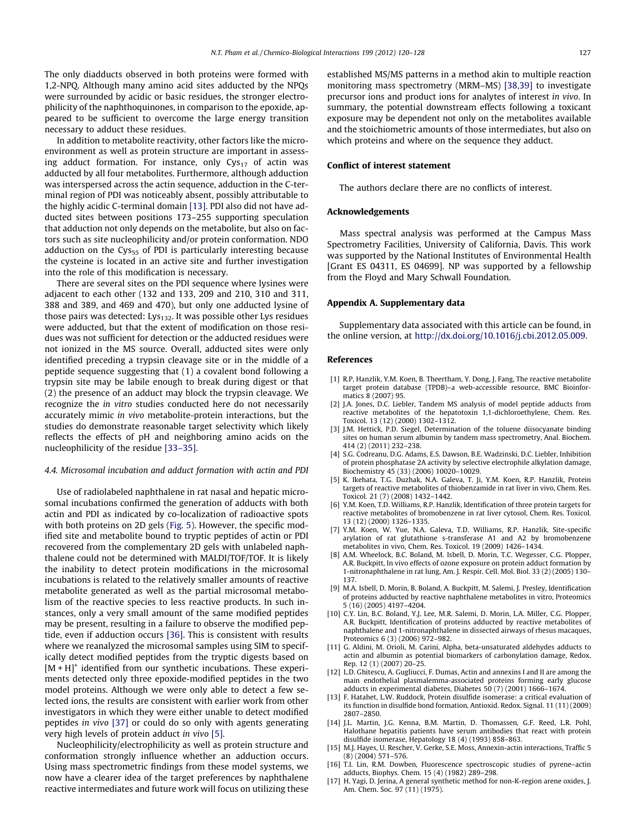<span id="page-7-0"></span>The only diadducts observed in both proteins were formed with 1,2-NPQ. Although many amino acid sites adducted by the NPQs were surrounded by acidic or basic residues, the stronger electrophilicity of the naphthoquinones, in comparison to the epoxide, appeared to be sufficient to overcome the large energy transition necessary to adduct these residues.

In addition to metabolite reactivity, other factors like the microenvironment as well as protein structure are important in assessing adduct formation. For instance, only  $Cys_{17}$  of actin was adducted by all four metabolites. Furthermore, although adduction was interspersed across the actin sequence, adduction in the C-terminal region of PDI was noticeably absent, possibly attributable to the highly acidic C-terminal domain [13]. PDI also did not have adducted sites between positions 173–255 supporting speculation that adduction not only depends on the metabolite, but also on factors such as site nucleophilicity and/or protein conformation. NDO adduction on the  $Cys_{55}$  of PDI is particularly interesting because the cysteine is located in an active site and further investigation into the role of this modification is necessary.

There are several sites on the PDI sequence where lysines were adjacent to each other (132 and 133, 209 and 210, 310 and 311, 388 and 389, and 469 and 470), but only one adducted lysine of those pairs was detected: Lys<sub>132</sub>. It was possible other Lys residues were adducted, but that the extent of modification on those residues was not sufficient for detection or the adducted residues were not ionized in the MS source. Overall, adducted sites were only identified preceding a trypsin cleavage site or in the middle of a peptide sequence suggesting that (1) a covalent bond following a trypsin site may be labile enough to break during digest or that (2) the presence of an adduct may block the trypsin cleavage. We recognize the in vitro studies conducted here do not necessarily accurately mimic in vivo metabolite-protein interactions, but the studies do demonstrate reasonable target selectivity which likely reflects the effects of pH and neighboring amino acids on the nucleophilicity of the residue [\[33–35\]](#page-8-0).

## 4.4. Microsomal incubation and adduct formation with actin and PDI

Use of radiolabeled naphthalene in rat nasal and hepatic microsomal incubations confirmed the generation of adducts with both actin and PDI as indicated by co-localization of radioactive spots with both proteins on 2D gels ([Fig. 5\)](#page-6-0). However, the specific modified site and metabolite bound to tryptic peptides of actin or PDI recovered from the complementary 2D gels with unlabeled naphthalene could not be determined with MALDI/TOF/TOF. It is likely the inability to detect protein modifications in the microsomal incubations is related to the relatively smaller amounts of reactive metabolite generated as well as the partial microsomal metabolism of the reactive species to less reactive products. In such instances, only a very small amount of the same modified peptides may be present, resulting in a failure to observe the modified peptide, even if adduction occurs [\[36\]](#page-8-0). This is consistent with results where we reanalyzed the microsomal samples using SIM to specifically detect modified peptides from the tryptic digests based on  $[M + H]$ <sup>+</sup> identified from our synthetic incubations. These experiments detected only three epoxide-modified peptides in the two model proteins. Although we were only able to detect a few selected ions, the results are consistent with earlier work from other investigators in which they were either unable to detect modified peptides in vivo [\[37\]](#page-8-0) or could do so only with agents generating very high levels of protein adduct in vivo [5].

Nucleophilicity/electrophilicity as well as protein structure and conformation strongly influence whether an adduction occurs. Using mass spectrometric findings from these model systems, we now have a clearer idea of the target preferences by naphthalene reactive intermediates and future work will focus on utilizing these established MS/MS patterns in a method akin to multiple reaction monitoring mass spectrometry (MRM–MS) [\[38,39\]](#page-8-0) to investigate precursor ions and product ions for analytes of interest in vivo. In summary, the potential downstream effects following a toxicant exposure may be dependent not only on the metabolites available and the stoichiometric amounts of those intermediates, but also on which proteins and where on the sequence they adduct.

#### Conflict of interest statement

The authors declare there are no conflicts of interest.

# Acknowledgements

Mass spectral analysis was performed at the Campus Mass Spectrometry Facilities, University of California, Davis. This work was supported by the National Institutes of Environmental Health [Grant ES 04311, ES 04699]. NP was supported by a fellowship from the Floyd and Mary Schwall Foundation.

## Appendix A. Supplementary data

Supplementary data associated with this article can be found, in the online version, at <http://dx.doi.org/10.1016/j.cbi.2012.05.009>.

#### References

- [1] R.P. Hanzlik, Y.M. Koen, B. Theertham, Y. Dong, J. Fang, The reactive metabolite target protein database (TPDB)–a web-accessible resource, BMC Bioinformatics 8 (2007) 95.
- [2] J.A. Jones, D.C. Liebler, Tandem MS analysis of model peptide adducts from reactive metabolites of the hepatotoxin 1,1-dichloroethylene, Chem. Res. Toxicol. 13 (12) (2000) 1302–1312.
- [3] J.M. Hettick, P.D. Siegel, Determination of the toluene diisocyanate binding sites on human serum albumin by tandem mass spectrometry, Anal. Biochem. 414 (2) (2011) 232–238.
- [4] S.G. Codreanu, D.G. Adams, E.S. Dawson, B.E. Wadzinski, D.C. Liebler, Inhibition of protein phosphatase 2A activity by selective electrophile alkylation damage, Biochemistry 45 (33) (2006) 10020–10029.
- [5] K. Ikehata, T.G. Duzhak, N.A. Galeva, T. Ji, Y.M. Koen, R.P. Hanzlik, Protein targets of reactive metabolites of thiobenzamide in rat liver in vivo, Chem. Res. Toxicol. 21 (7) (2008) 1432–1442.
- [6] Y.M. Koen, T.D. Williams, R.P. Hanzlik, Identification of three protein targets for reactive metabolites of bromobenzene in rat liver cytosol, Chem. Res. Toxicol. 13 (12) (2000) 1326–1335.
- [7] Y.M. Koen, W. Yue, N.A. Galeva, T.D. Williams, R.P. Hanzlik, Site-specific arylation of rat glutathione s-transferase A1 and A2 by bromobenzene metabolites in vivo, Chem. Res. Toxicol. 19 (2009) 1426–1434.
- [8] A.M. Wheelock, B.C. Boland, M. Isbell, D. Morin, T.C. Wegesser, C.G. Plopper, A.R. Buckpitt, In vivo effects of ozone exposure on protein adduct formation by 1-nitronaphthalene in rat lung, Am. J. Respir. Cell. Mol. Biol. 33 (2) (2005) 130– 137.
- [9] M.A. Isbell, D. Morin, B. Boland, A. Buckpitt, M. Salemi, J. Presley, Identification of proteins adducted by reactive naphthalene metabolites in vitro, Proteomics 5 (16) (2005) 4197–4204.
- [10] C.Y. Lin, B.C. Boland, Y.J. Lee, M.R. Salemi, D. Morin, L.A. Miller, C.G. Plopper, A.R. Buckpitt, Identification of proteins adducted by reactive metabolites of naphthalene and 1-nitronaphthalene in dissected airways of rhesus macaques, Proteomics 6 (3) (2006) 972–982.
- [11] G. Aldini, M. Orioli, M. Carini, Alpha, beta-unsaturated aldehydes adducts to actin and albumin as potential biomarkers of carbonylation damage, Redox. Rep. 12 (1) (2007) 20–25.
- [12] L.D. Ghitescu, A. Gugliucci, F. Dumas, Actin and annexins I and II are among the main endothelial plasmalemma-associated proteins forming early glucose adducts in experimental diabetes, Diabetes 50 (7) (2001) 1666–1674.
- [13] F. Hatahet, L.W. Ruddock, Protein disulfide isomerase: a critical evaluation of its function in disulfide bond formation, Antioxid. Redox. Signal. 11 (11) (2009) 2807–2850.
- [14] J.L. Martin, J.G. Kenna, B.M. Martin, D. Thomassen, G.F. Reed, L.R. Pohl, Halothane hepatitis patients have serum antibodies that react with protein disulfide isomerase, Hepatology 18 (4) (1993) 858–863.
- [15] M.J. Hayes, U. Rescher, V. Gerke, S.E. Moss, Annexin-actin interactions, Traffic 5 (8) (2004) 571–576.
- [16] T.I. Lin, R.M. Dowben, Fluorescence spectroscopic studies of pyrene–actin adducts, Biophys. Chem. 15 (4) (1982) 289–298.
- [17] H. Yagi, D. Jerina, A general synthetic method for non-K-region arene oxides, J. Am. Chem. Soc. 97 (11) (1975).